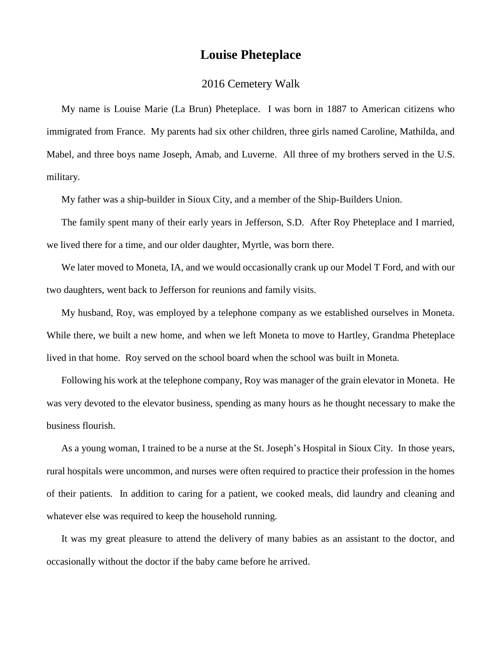## **Louise Pheteplace**

## 2016 Cemetery Walk

My name is Louise Marie (La Brun) Pheteplace. I was born in 1887 to American citizens who immigrated from France. My parents had six other children, three girls named Caroline, Mathilda, and Mabel, and three boys name Joseph, Amab, and Luverne. All three of my brothers served in the U.S. military.

My father was a ship-builder in Sioux City, and a member of the Ship-Builders Union.

The family spent many of their early years in Jefferson, S.D. After Roy Pheteplace and I married, we lived there for a time, and our older daughter, Myrtle, was born there.

We later moved to Moneta, IA, and we would occasionally crank up our Model T Ford, and with our two daughters, went back to Jefferson for reunions and family visits.

My husband, Roy, was employed by a telephone company as we established ourselves in Moneta. While there, we built a new home, and when we left Moneta to move to Hartley, Grandma Pheteplace lived in that home. Roy served on the school board when the school was built in Moneta.

Following his work at the telephone company, Roy was manager of the grain elevator in Moneta. He was very devoted to the elevator business, spending as many hours as he thought necessary to make the business flourish.

As a young woman, I trained to be a nurse at the St. Joseph's Hospital in Sioux City. In those years, rural hospitals were uncommon, and nurses were often required to practice their profession in the homes of their patients. In addition to caring for a patient, we cooked meals, did laundry and cleaning and whatever else was required to keep the household running.

It was my great pleasure to attend the delivery of many babies as an assistant to the doctor, and occasionally without the doctor if the baby came before he arrived.